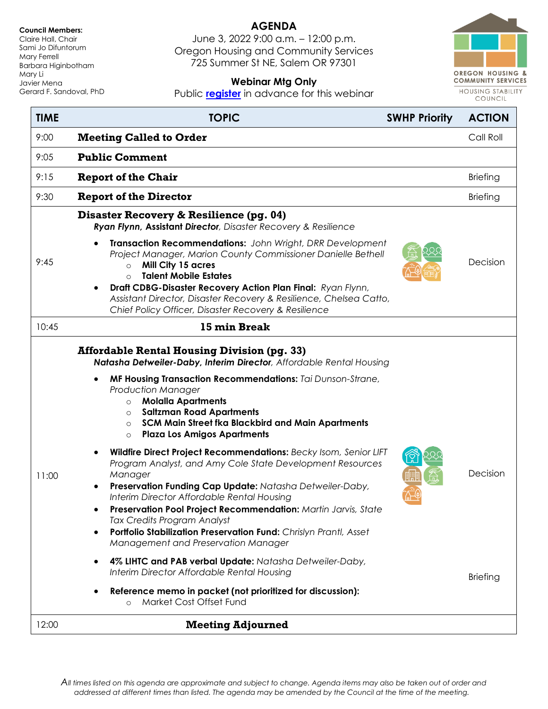#### **Council Members:**

Claire Hall, Chair Sami Jo Difuntorum Mary Ferrell Barbara Higinbotham Mary Li Javier Mena Gerard F. Sandoval, PhD

# **AGENDA**

June 3, 2022 9:00 a.m. – 12:00 p.m. Oregon Housing and Community Services 725 Summer St NE, Salem OR 97301



## **Webinar Mtg Only**

Public **[register](https://us02web.zoom.us/webinar/register/WN_h2euoHmbRbC5w0odqHsrgw)** in advance for this webinar

| <b>TIME</b> | <b>TOPIC</b>                                                                                                                                                                                                                                                                                                                                                                                                                                           | <b>SWHP Priority</b> | <b>ACTION</b>   |
|-------------|--------------------------------------------------------------------------------------------------------------------------------------------------------------------------------------------------------------------------------------------------------------------------------------------------------------------------------------------------------------------------------------------------------------------------------------------------------|----------------------|-----------------|
| 9:00        | <b>Meeting Called to Order</b>                                                                                                                                                                                                                                                                                                                                                                                                                         |                      | Call Roll       |
| 9:05        | <b>Public Comment</b>                                                                                                                                                                                                                                                                                                                                                                                                                                  |                      |                 |
| 9:15        | <b>Report of the Chair</b>                                                                                                                                                                                                                                                                                                                                                                                                                             |                      | <b>Briefing</b> |
| 9:30        | <b>Report of the Director</b>                                                                                                                                                                                                                                                                                                                                                                                                                          |                      | <b>Briefing</b> |
|             | Disaster Recovery & Resilience (pg. 04)<br>Ryan Flynn, Assistant Director, Disaster Recovery & Resilience                                                                                                                                                                                                                                                                                                                                              |                      |                 |
| 9:45        | Transaction Recommendations: John Wright, DRR Development<br>Project Manager, Marion County Commissioner Danielle Bethell<br>Mill City 15 acres<br>$\circ$<br><b>Talent Mobile Estates</b><br>$\Omega$<br>Draft CDBG-Disaster Recovery Action Plan Final: Ryan Flynn,<br>$\bullet$<br>Assistant Director, Disaster Recovery & Resilience, Chelsea Catto,<br>Chief Policy Officer, Disaster Recovery & Resilience                                       |                      | Decision        |
| 10:45       | 15 min Break                                                                                                                                                                                                                                                                                                                                                                                                                                           |                      |                 |
| 11:00       | Natasha Detweiler-Daby, Interim Director, Affordable Rental Housing<br>MF Housing Transaction Recommendations: Tai Dunson-Strane,<br><b>Production Manager</b><br><b>Molalla Apartments</b><br>$\circ$<br><b>Saltzman Road Apartments</b><br>$\circ$<br>SCM Main Street fka Blackbird and Main Apartments<br>$\circ$<br><b>Plaza Los Amigos Apartments</b><br>$\circ$<br>Wildfire Direct Project Recommendations: Becky Isom, Senior LIFT<br>$\bullet$ |                      |                 |
|             | Program Analyst, and Amy Cole State Development Resources<br>Manager<br>Preservation Funding Cap Update: Natasha Detweiler-Daby,<br>$\bullet$<br>Interim Director Affordable Rental Housing<br>Preservation Pool Project Recommendation: Martin Jarvis, State<br><b>Tax Credits Program Analyst</b><br>Portfolio Stabilization Preservation Fund: Chrislyn Prantl, Asset<br>Management and Preservation Manager                                        |                      | Decision        |
|             | 4% LIHTC and PAB verbal Update: Natasha Detweiler-Daby,<br>$\bullet$<br>Interim Director Affordable Rental Housing<br>Reference memo in packet (not prioritized for discussion):<br>Market Cost Offset Fund<br>$\circ$                                                                                                                                                                                                                                 |                      | <b>Briefing</b> |
| 12:00       | <b>Meeting Adjourned</b>                                                                                                                                                                                                                                                                                                                                                                                                                               |                      |                 |